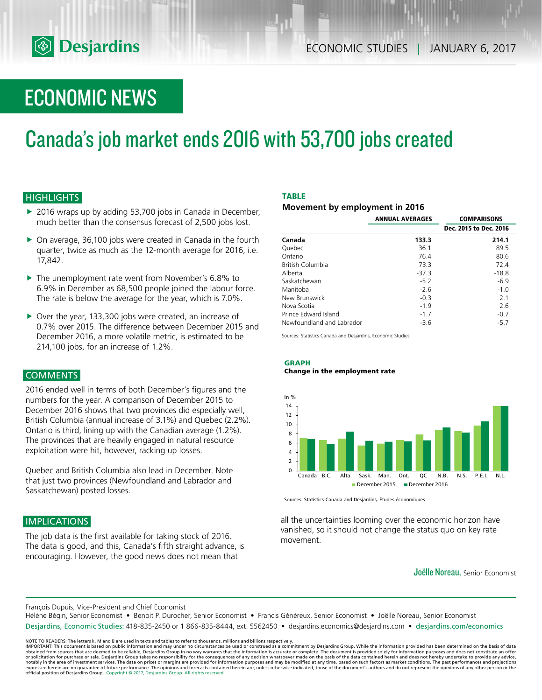# ECONOMIC NEWS

# Canada's job market ends 2016 with 53,700 jobs created

## **HIGHLIGHTS**

- $\triangleright$  2016 wraps up by adding 53,700 jobs in Canada in December, much better than the consensus forecast of 2,500 jobs lost.
- $\triangleright$  On average, 36,100 jobs were created in Canada in the fourth quarter, twice as much as the 12-month average for 2016, i.e. 17,842.
- $\blacktriangleright$  The unemployment rate went from November's 6.8% to 6.9% in December as 68,500 people joined the labour force. The rate is below the average for the year, which is 7.0%.
- $\triangleright$  Over the year, 133,300 jobs were created, an increase of 0.7% over 2015. The difference between December 2015 and December 2016, a more volatile metric, is estimated to be 214,100 jobs, for an increase of 1.2%.

## COMMENTS

2016 ended well in terms of both December's figures and the numbers for the year. A comparison of December 2015 to December 2016 shows that two provinces did especially well, British Columbia (annual increase of 3.1%) and Quebec (2.2%). Ontario is third, lining up with the Canadian average (1.2%). The provinces that are heavily engaged in natural resource exploitation were hit, however, racking up losses.

Quebec and British Columbia also lead in December. Note that just two provinces (Newfoundland and Labrador and Saskatchewan) posted losses.

## IMPLICATIONS

The job data is the first available for taking stock of 2016. The data is good, and this, Canada's fifth straight advance, is encouraging. However, the good news does not mean that

## **TABLE**

## **Movement by employment in 2016**

|                           | <b>ANNUAL AVERAGES</b> | <b>COMPARISONS</b>     |
|---------------------------|------------------------|------------------------|
|                           |                        | Dec. 2015 to Dec. 2016 |
| Canada                    | 133.3                  | 214.1                  |
| <b>Ouebec</b>             | 36.1                   | 89.5                   |
| Ontario                   | 76.4                   | 80.6                   |
| British Columbia          | 73.3                   | 72.4                   |
| Alberta                   | $-37.3$                | $-18.8$                |
| Saskatchewan              | $-5.2$                 | $-6.9$                 |
| Manitoba                  | $-2.6$                 | $-1.0$                 |
| New Brunswick             | $-0.3$                 | 2.1                    |
| Nova Scotia               | $-1.9$                 | 2.6                    |
| Prince Edward Island      | $-1.7$                 | $-0.7$                 |
| Newfoundland and Labrador | $-3.6$                 | $-5.7$                 |

Sources: Statistics Canada and Desjardins, Economic Studies

## **GRAPH Change in the employment rate**



Sources: Statistics Canada and Desjardins, Études économiques

all the uncertainties looming over the economic horizon have vanished, so it should not change the status quo on key rate movement.

Joëlle Noreau, Senior Economist

François Dupuis, Vice-President and Chief Economist

Hélène Bégin, Senior Economist • Benoit P. Durocher, Senior Economist • Francis Généreux, Senior Economist • Joëlle Noreau, Senior Economist

Desjardins, Economic Studies: 418-835-2450 or 1 866-835-8444, ext. 5562450 • desjardins.economics@desjardins.com • desjardins.com/economics

NOTE TO READERS: The letters k, M and B are used in texts and tables to refer to thousands, millions and billions respectively.<br>IMPORTANT: This document is based on public information and may under no circumstances be used obtained from sources that are deemed to be reliable, Desjardins Group in no way warrants that the information is accurate or complete. The document is provided solely for information purposes and does not constitute an of expressed herein are no guarantee of future performance. The opinions and forecasts contained herein are, unless otherwise indicated, those of the document's authors and do not represent the opinions of any other person or official position of Desjardins Group. Copyright © 2017, Desjardins Group. All rights reserved.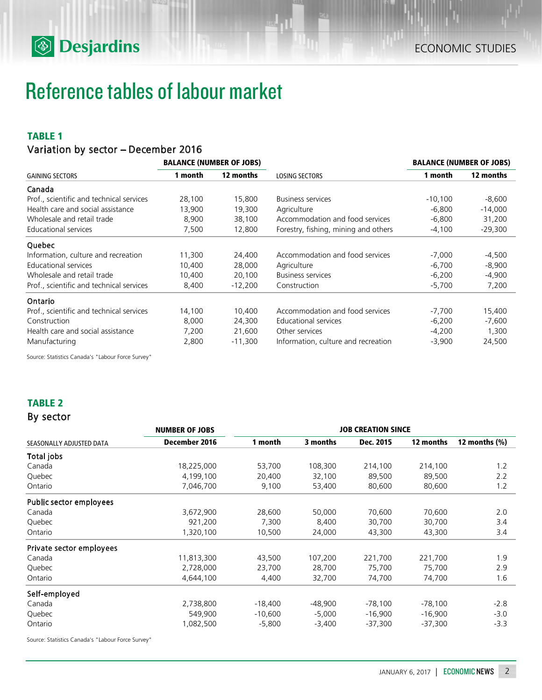# **<b>Desjardins**

# Reference tables of labour market

## **TABLE 1**

# Variation by sector – December 2016

|                                          | <b>BALANCE (NUMBER OF JOBS)</b><br>1 month<br>12 months |           |                                      | <b>BALANCE (NUMBER OF JOBS)</b> |           |
|------------------------------------------|---------------------------------------------------------|-----------|--------------------------------------|---------------------------------|-----------|
| <b>GAINING SECTORS</b>                   |                                                         |           | <b>LOSING SECTORS</b>                | 1 month                         | 12 months |
| Canada                                   |                                                         |           |                                      |                                 |           |
| Prof., scientific and technical services | 28,100                                                  | 15,800    | <b>Business services</b>             | $-10,100$                       | $-8,600$  |
| Health care and social assistance        | 13,900                                                  | 19,300    | Agriculture                          | $-6,800$                        | $-14,000$ |
| Wholesale and retail trade               | 8,900                                                   | 38,100    | Accommodation and food services      | $-6,800$                        | 31,200    |
| Educational services                     | 7,500                                                   | 12,800    | Forestry, fishing, mining and others | $-4,100$                        | $-29,300$ |
| <b>Ouebec</b>                            |                                                         |           |                                      |                                 |           |
| Information, culture and recreation      | 11,300                                                  | 24,400    | Accommodation and food services      | -7,000                          | $-4,500$  |
| Educational services                     | 10,400                                                  | 28,000    | Agriculture                          | $-6,700$                        | $-8,900$  |
| Wholesale and retail trade               | 10,400                                                  | 20,100    | <b>Business services</b>             | $-6,200$                        | $-4,900$  |
| Prof., scientific and technical services | 8,400                                                   | $-12,200$ | Construction                         | $-5,700$                        | 7,200     |
| Ontario                                  |                                                         |           |                                      |                                 |           |
| Prof., scientific and technical services | 14,100                                                  | 10,400    | Accommodation and food services      | $-7,700$                        | 15,400    |
| Construction                             | 8,000                                                   | 24,300    | Educational services                 | $-6,200$                        | $-7,600$  |
| Health care and social assistance        | 7,200                                                   | 21,600    | Other services                       | $-4,200$                        | 1,300     |
| Manufacturing                            | 2,800                                                   | $-11.300$ | Information, culture and recreation  | $-3,900$                        | 24,500    |

Source: Statistics Canada's "Labour Force Survey"

## **TABLE 2**

# By sector

|                          | <b>NUMBER OF JOBS</b> | <b>JOB CREATION SINCE</b> |          |           |           |                  |  |  |
|--------------------------|-----------------------|---------------------------|----------|-----------|-----------|------------------|--|--|
| SEASONALLY ADJUSTED DATA | December 2016         | 1 month                   | 3 months | Dec. 2015 | 12 months | 12 months $(\%)$ |  |  |
| Total jobs               |                       |                           |          |           |           |                  |  |  |
| Canada                   | 18,225,000            | 53,700                    | 108,300  | 214,100   | 214,100   | 1.2              |  |  |
| Quebec                   | 4,199,100             | 20,400                    | 32,100   | 89,500    | 89,500    | 2.2              |  |  |
| Ontario                  | 7,046,700             | 9,100                     | 53,400   | 80,600    | 80,600    | 1.2              |  |  |
| Public sector employees  |                       |                           |          |           |           |                  |  |  |
| Canada                   | 3,672,900             | 28,600                    | 50,000   | 70,600    | 70,600    | 2.0              |  |  |
| Quebec                   | 921,200               | 7,300                     | 8,400    | 30,700    | 30,700    | 3.4              |  |  |
| Ontario                  | 1,320,100             | 10,500                    | 24,000   | 43,300    | 43,300    | 3.4              |  |  |
| Private sector employees |                       |                           |          |           |           |                  |  |  |
| Canada                   | 11,813,300            | 43,500                    | 107,200  | 221,700   | 221,700   | 1.9              |  |  |
| Quebec                   | 2,728,000             | 23,700                    | 28,700   | 75,700    | 75,700    | 2.9              |  |  |
| Ontario                  | 4,644,100             | 4,400                     | 32,700   | 74,700    | 74,700    | 1.6              |  |  |
| Self-employed            |                       |                           |          |           |           |                  |  |  |
| Canada                   | 2,738,800             | $-18,400$                 | -48,900  | $-78,100$ | $-78,100$ | $-2.8$           |  |  |
| Quebec                   | 549,900               | $-10,600$                 | $-5,000$ | $-16,900$ | $-16,900$ | $-3.0$           |  |  |
| Ontario                  | 1,082,500             | -5,800                    | $-3,400$ | $-37,300$ | $-37,300$ | $-3.3$           |  |  |

Source: Statistics Canada's "Labour Force Survey"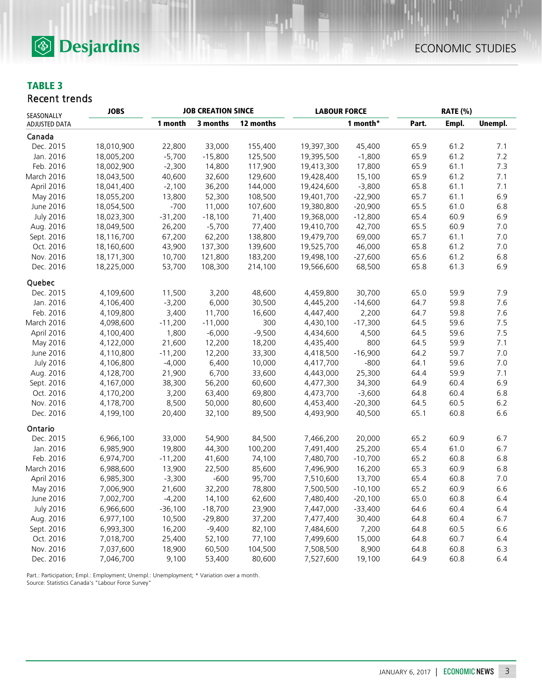

## **TABLE 3** Recent trends

| <b>JOBS</b><br>SEASONALLY |            |           | <b>JOB CREATION SINCE</b> |           | <b>LABOUR FORCE</b> |           | <b>RATE (%)</b> |       |         |
|---------------------------|------------|-----------|---------------------------|-----------|---------------------|-----------|-----------------|-------|---------|
| ADJUSTED DATA             |            | 1 month   | 3 months                  | 12 months |                     | 1 month*  | Part.           | Empl. | Unempl. |
| Canada                    |            |           |                           |           |                     |           |                 |       |         |
| Dec. 2015                 | 18,010,900 | 22,800    | 33,000                    | 155,400   | 19,397,300          | 45,400    | 65.9            | 61.2  | 7.1     |
| Jan. 2016                 | 18,005,200 | $-5,700$  | $-15,800$                 | 125,500   | 19,395,500          | $-1,800$  | 65.9            | 61.2  | 7.2     |
| Feb. 2016                 | 18,002,900 | $-2,300$  | 14,800                    | 117,900   | 19,413,300          | 17,800    | 65.9            | 61.1  | 7.3     |
| March 2016                | 18,043,500 | 40,600    | 32,600                    | 129,600   | 19,428,400          | 15,100    | 65.9            | 61.2  | 7.1     |
| April 2016                | 18,041,400 | $-2,100$  | 36,200                    | 144,000   | 19,424,600          | $-3,800$  | 65.8            | 61.1  | 7.1     |
| May 2016                  | 18,055,200 | 13,800    | 52,300                    | 108,500   | 19,401,700          | $-22,900$ | 65.7            | 61.1  | 6.9     |
| June 2016                 | 18,054,500 | $-700$    | 11,000                    | 107,600   | 19,380,800          | $-20,900$ | 65.5            | 61.0  | 6.8     |
| <b>July 2016</b>          | 18,023,300 | $-31,200$ | $-18,100$                 | 71,400    | 19,368,000          | $-12,800$ | 65.4            | 60.9  | 6.9     |
| Aug. 2016                 | 18,049,500 | 26,200    | $-5,700$                  | 77,400    | 19,410,700          | 42,700    | 65.5            | 60.9  | 7.0     |
| Sept. 2016                | 18,116,700 | 67,200    | 62,200                    | 138,800   | 19,479,700          | 69,000    | 65.7            | 61.1  | 7.0     |
| Oct. 2016                 | 18,160,600 | 43,900    | 137,300                   | 139,600   | 19,525,700          | 46,000    | 65.8            | 61.2  | 7.0     |
| Nov. 2016                 | 18,171,300 | 10,700    | 121,800                   | 183,200   | 19,498,100          | $-27,600$ | 65.6            | 61.2  | 6.8     |
| Dec. 2016                 | 18,225,000 | 53,700    | 108,300                   | 214,100   | 19,566,600          | 68,500    | 65.8            | 61.3  | 6.9     |
| Quebec                    |            |           |                           |           |                     |           |                 |       |         |
| Dec. 2015                 | 4,109,600  | 11,500    | 3,200                     | 48,600    | 4,459,800           | 30,700    | 65.0            | 59.9  | 7.9     |
| Jan. 2016                 | 4,106,400  | $-3,200$  | 6,000                     | 30,500    | 4,445,200           | $-14,600$ | 64.7            | 59.8  | 7.6     |
| Feb. 2016                 | 4,109,800  | 3,400     | 11,700                    | 16,600    | 4,447,400           | 2,200     | 64.7            | 59.8  | 7.6     |
| March 2016                | 4,098,600  | $-11,200$ | $-11,000$                 | 300       | 4,430,100           | $-17,300$ | 64.5            | 59.6  | 7.5     |
| April 2016                | 4,100,400  | 1,800     | $-6,000$                  | $-9,500$  | 4,434,600           | 4,500     | 64.5            | 59.6  | 7.5     |
| May 2016                  | 4,122,000  | 21,600    | 12,200                    | 18,200    | 4,435,400           | 800       | 64.5            | 59.9  | 7.1     |
| June 2016                 | 4,110,800  | $-11,200$ | 12,200                    | 33,300    | 4,418,500           | $-16,900$ | 64.2            | 59.7  | 7.0     |
| <b>July 2016</b>          | 4,106,800  | $-4,000$  | 6,400                     | 10,000    | 4,417,700           | $-800$    | 64.1            | 59.6  | 7.0     |
| Aug. 2016                 | 4,128,700  | 21,900    | 6,700                     | 33,600    | 4,443,000           | 25,300    | 64.4            | 59.9  | 7.1     |
| Sept. 2016                | 4,167,000  | 38,300    | 56,200                    | 60,600    | 4,477,300           | 34,300    | 64.9            | 60.4  | 6.9     |
| Oct. 2016                 | 4,170,200  | 3,200     | 63,400                    | 69,800    | 4,473,700           | $-3,600$  | 64.8            | 60.4  | 6.8     |
| Nov. 2016                 | 4,178,700  | 8,500     | 50,000                    | 80,600    | 4,453,400           | $-20,300$ | 64.5            | 60.5  | 6.2     |
| Dec. 2016                 | 4,199,100  | 20,400    | 32,100                    | 89,500    | 4,493,900           | 40,500    | 65.1            | 60.8  | 6.6     |
| Ontario                   |            |           |                           |           |                     |           |                 |       |         |
| Dec. 2015                 | 6,966,100  | 33,000    | 54,900                    | 84,500    | 7,466,200           | 20,000    | 65.2            | 60.9  | 6.7     |
| Jan. 2016                 | 6,985,900  | 19,800    | 44,300                    | 100,200   | 7,491,400           | 25,200    | 65.4            | 61.0  | 6.7     |
| Feb. 2016                 | 6,974,700  | $-11,200$ | 41,600                    | 74,100    | 7,480,700           | $-10,700$ | 65.2            | 60.8  | 6.8     |
| March 2016                | 6,988,600  | 13,900    | 22,500                    | 85,600    | 7,496,900           | 16,200    | 65.3            | 60.9  | 6.8     |
| April 2016                | 6,985,300  | $-3,300$  | $-600$                    | 95,700    | 7,510,600           | 13,700    | 65.4            | 60.8  | 7.0     |
| May 2016                  | 7,006,900  | 21,600    | 32,200                    | 78,800    | 7,500,500           | $-10,100$ | 65.2            | 60.9  | 6.6     |
| June 2016                 | 7,002,700  | $-4,200$  | 14,100                    | 62,600    | 7,480,400           | $-20,100$ | 65.0            | 60.8  | 6.4     |
| <b>July 2016</b>          | 6,966,600  | $-36,100$ | $-18,700$                 | 23,900    | 7,447,000           | $-33,400$ | 64.6            | 60.4  | 6.4     |
| Aug. 2016                 | 6,977,100  | 10,500    | $-29,800$                 | 37,200    | 7,477,400           | 30,400    | 64.8            | 60.4  | 6.7     |
| Sept. 2016                | 6,993,300  | 16,200    | $-9,400$                  | 82,100    | 7,484,600           | 7,200     | 64.8            | 60.5  | 6.6     |
| Oct. 2016                 | 7,018,700  | 25,400    | 52,100                    | 77,100    | 7,499,600           | 15,000    | 64.8            | 60.7  | 6.4     |
| Nov. 2016                 | 7,037,600  | 18,900    | 60,500                    | 104,500   | 7,508,500           | 8,900     | 64.8            | 60.8  | 6.3     |
| Dec. 2016                 | 7,046,700  | 9,100     | 53,400                    | 80,600    | 7,527,600           | 19,100    | 64.9            | 60.8  | 6.4     |

Part.: Participation; Empl.: Employment; Unempl.: Unemployment; \* Variation over a month. Source: Statistics Canada's "Labour Force Survey"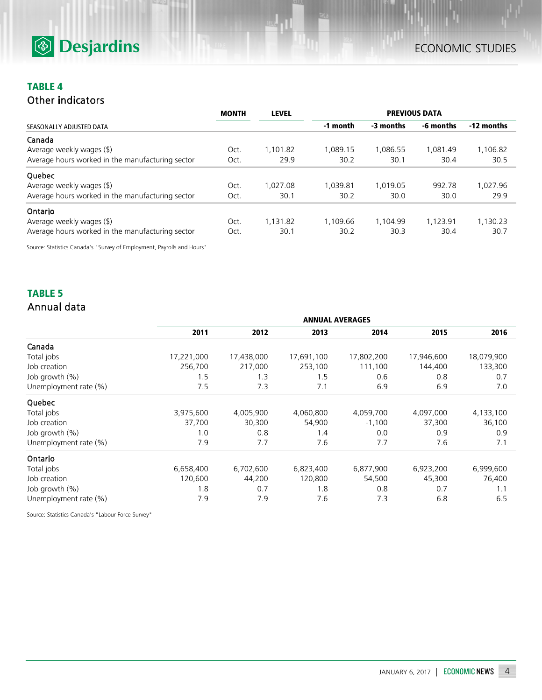

# **TABLE 4**

# Other indicators

|                                                  | <b>MONTH</b> | <b>LEVEL</b> | <b>PREVIOUS DATA</b> |           |           |            |
|--------------------------------------------------|--------------|--------------|----------------------|-----------|-----------|------------|
| SEASONALLY ADJUSTED DATA                         |              |              | -1 month             | -3 months | -6 months | -12 months |
| Canada                                           |              |              |                      |           |           |            |
| Average weekly wages (\$)                        | Oct.         | 1.101.82     | 1.089.15             | 1,086.55  | 1.081.49  | 1,106.82   |
| Average hours worked in the manufacturing sector | Oct.         | 29.9         | 30.2                 | 30.1      | 30.4      | 30.5       |
| Quebec                                           |              |              |                      |           |           |            |
| Average weekly wages (\$)                        | Oct.         | 1.027.08     | 1.039.81             | 1,019.05  | 992.78    | 1,027.96   |
| Average hours worked in the manufacturing sector | Oct.         | 30.1         | 30.2                 | 30.0      | 30.0      | 29.9       |
| Ontario                                          |              |              |                      |           |           |            |
| Average weekly wages (\$)                        | Oct.         | 1.131.82     | 1.109.66             | 1.104.99  | 1,123.91  | 1,130.23   |
| Average hours worked in the manufacturing sector | Oct.         | 30.1         | 30.2                 | 30.3      | 30.4      | 30.7       |

Source: Statistics Canada's "Survey of Employment, Payrolls and Hours"

# **TABLE 5**

# Annual data

|                       |            |            | <b>ANNUAL AVERAGES</b> |            |            |            |
|-----------------------|------------|------------|------------------------|------------|------------|------------|
|                       | 2011       | 2012       | 2013                   | 2014       | 2015       | 2016       |
| Canada                |            |            |                        |            |            |            |
| Total jobs            | 17,221,000 | 17,438,000 | 17,691,100             | 17,802,200 | 17,946,600 | 18,079,900 |
| Job creation          | 256,700    | 217,000    | 253,100                | 111,100    | 144,400    | 133,300    |
| Job growth (%)        | 1.5        | 1.3        | 1.5                    | 0.6        | 0.8        | 0.7        |
| Unemployment rate (%) | 7.5        | 7.3        | 7.1                    | 6.9        | 6.9        | 7.0        |
| Quebec                |            |            |                        |            |            |            |
| Total jobs            | 3,975,600  | 4,005,900  | 4,060,800              | 4,059,700  | 4,097,000  | 4,133,100  |
| Job creation          | 37,700     | 30,300     | 54,900                 | $-1,100$   | 37,300     | 36,100     |
| Job growth $(\%)$     | 1.0        | 0.8        | 1.4                    | 0.0        | 0.9        | 0.9        |
| Unemployment rate (%) | 7.9        | 7.7        | 7.6                    | 7.7        | 7.6        | 7.1        |
| Ontario               |            |            |                        |            |            |            |
| Total jobs            | 6,658,400  | 6,702,600  | 6,823,400              | 6,877,900  | 6,923,200  | 6,999,600  |
| Job creation          | 120,600    | 44,200     | 120,800                | 54,500     | 45,300     | 76,400     |
| Job growth (%)        | 1.8        | 0.7        | 1.8                    | 0.8        | 0.7        | 1.1        |
| Unemployment rate (%) | 7.9        | 7.9        | 7.6                    | 7.3        | 6.8        | 6.5        |

Source: Statistics Canada's "Labour Force Survey"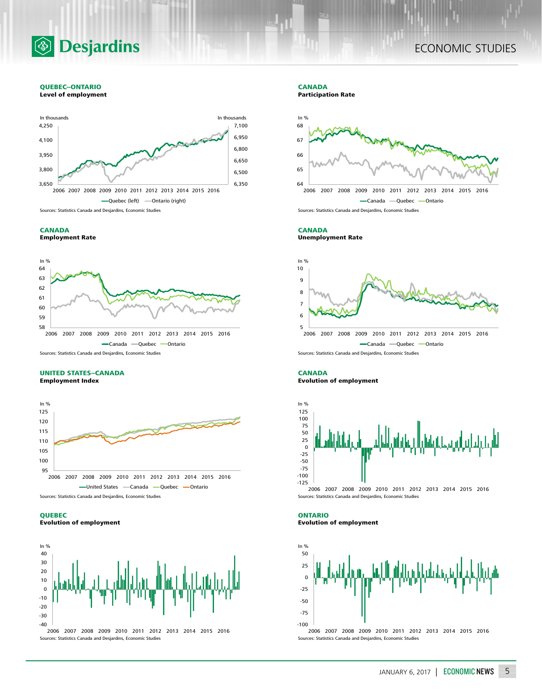

## ECONOMIC STUDIES

#### **QUEBEC–ONTARIO**

**Level of employment**



#### **CANADA**

**Employment Rate**



Sources: Statistics Canada and Desjardins, Economic Studies

#### **UNITED STATES–CANADA Employment Index**



Sources: Statistics Canada and Desjardins, Economic Studies

#### **QUEBEC**

### **Evolution of employment**



Sources: Statistics Canada and Desjardins, Economic Studies

### **CANADA**

**Participation Rate**



#### **CANADA Unemployment Rate**



Sources: Statistics Canada and Desjardins, Economic Studies

## **CANADA Evolution of employment**



2006 2007 2008 2009 2010 2011 2012 2013 2014 2015 2016 Sources: Statistics Canada and Desjardins, Economic Studies

**ONTARIO Evolution of employment**